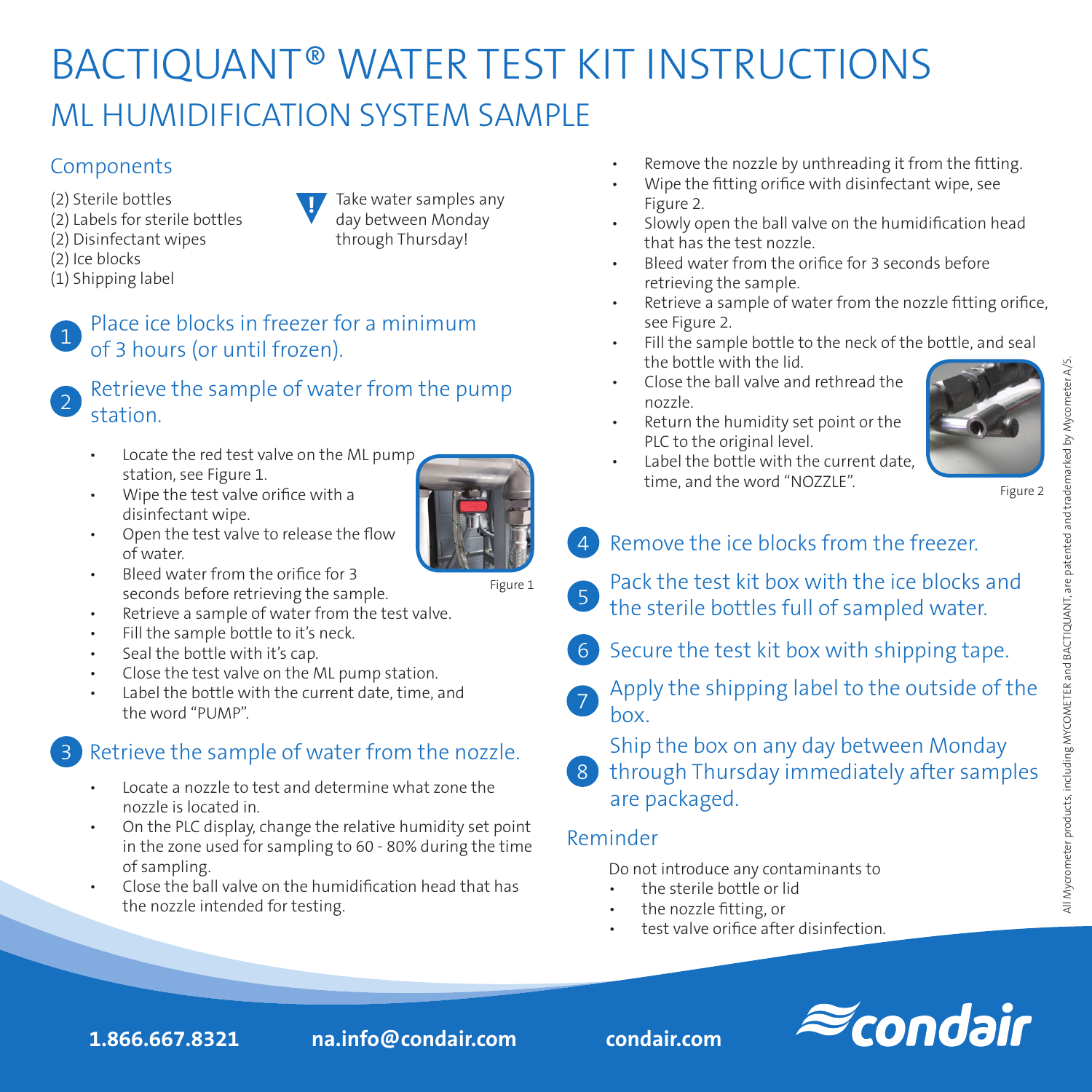## BACTIQUANT® WATER TEST KIT INSTRUCTIONS ML HUMIDIFICATION SYSTEM SAMPLE

#### **Components**

- (2) Sterile bottles (2) Labels for sterile bottles
- (2) Disinfectant wipes
- (2) Ice blocks
- (1) Shipping label

**!** Take water samples any day between Monday through Thursday!

#### Place ice blocks in freezer for a minimum of 3 hours (or until frozen).

#### Retrieve the sample of water from the pump station.

- Locate the red test valve on the ML pump station, see Figure 1.
- Wipe the test valve orifice with a disinfectant wipe.
- Open the test valve to release the flow of water.
- Bleed water from the orifice for 3 seconds before retrieving the sample.
- Retrieve a sample of water from the test valve.
- Fill the sample bottle to it's neck.
- Seal the bottle with it's cap.
- Close the test valve on the ML pump station.
- Label the bottle with the current date, time, and the word "PUMP".

### Retrieve the sample of water from the nozzle.

- Locate a nozzle to test and determine what zone the nozzle is located in.
- On the PLC display, change the relative humidity set point in the zone used for sampling to 60 - 80% during the time of sampling.
- Close the ball valve on the humidification head that has the nozzle intended for testing.
- Remove the nozzle by unthreading it from the fitting.
- Wipe the fitting orifice with disinfectant wipe, see Figure 2.
- Slowly open the ball valve on the humidification head that has the test nozzle.
- Bleed water from the orifice for 3 seconds before retrieving the sample.
- Retrieve a sample of water from the nozzle fitting orifice, see Figure 2.
- Fill the sample bottle to the neck of the bottle, and seal the bottle with the lid.
- Close the ball valve and rethread the nozzle.
- Return the humidity set point or the PLC to the original level.



Figure 2

- 4 Remove the ice blocks from the freezer.
- 5 Pack the test kit box with the ice blocks and the sterile bottles full of sampled water.
	- 6 Secure the test kit box with shipping tape.
- **7** Apply the shipping label to the outside of the box.
	- Ship the box on any day between Monday
- 8 through Thursday immediately after samples are packaged.

#### Reminder

Do not introduce any contaminants to

- the sterile bottle or lid
- the nozzle fitting, or
- test valve orifice after disinfection.

**1.866.667.8321 na.info@condair.com condair.com**